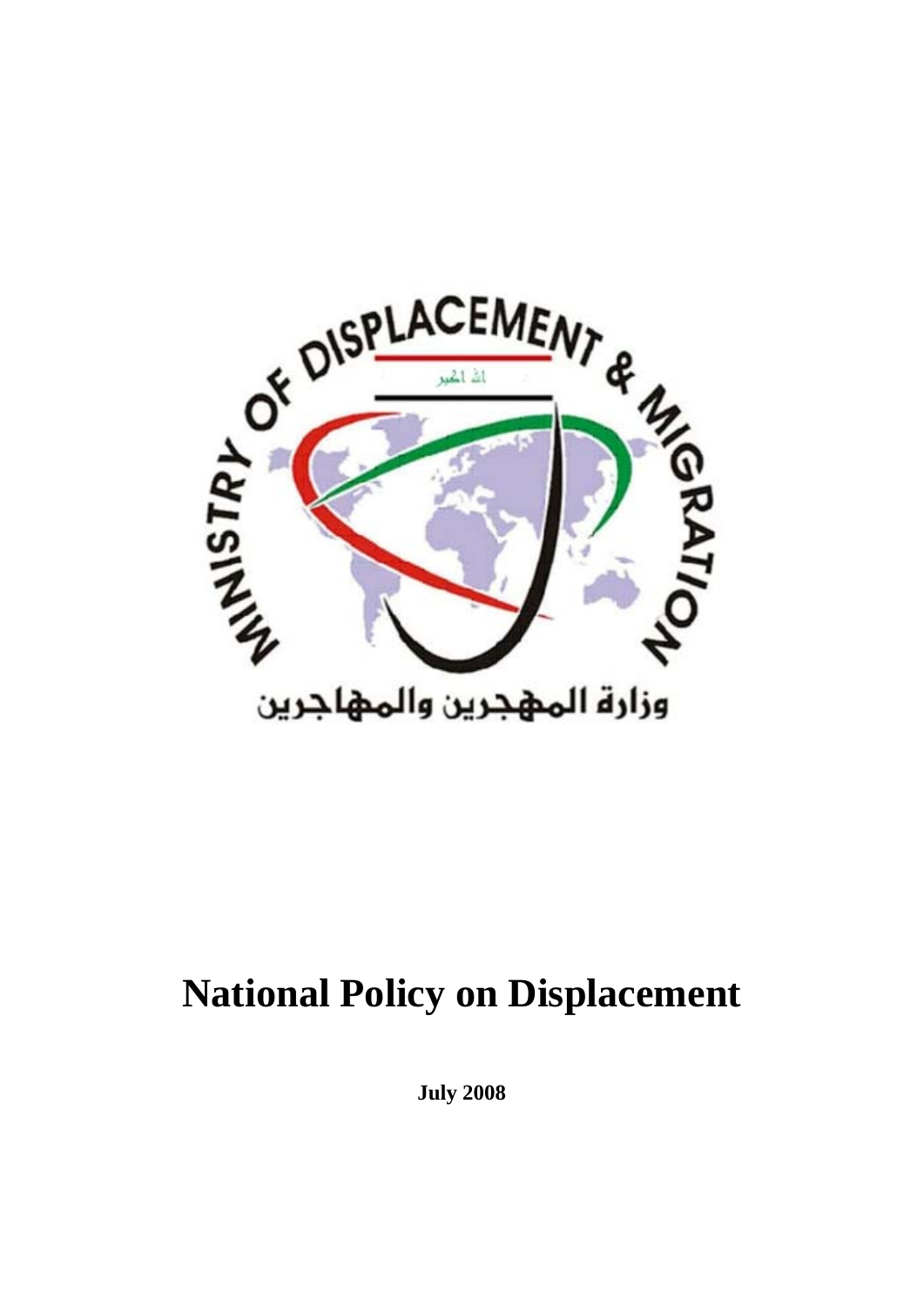

# **National Policy on Displacement**

**July 2008**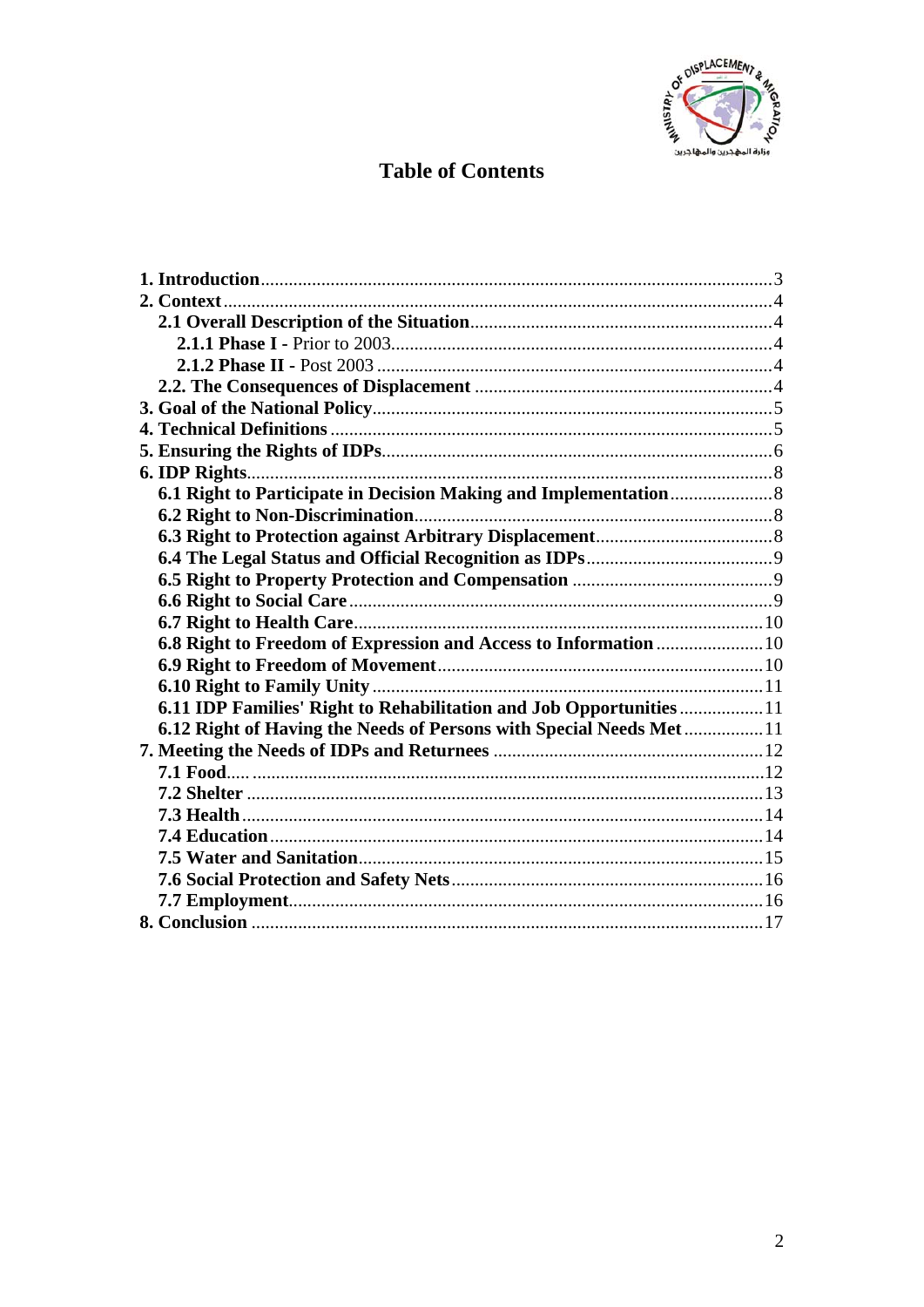

# **Table of Contents**

| 6.8 Right to Freedom of Expression and Access to Information  10   |  |
|--------------------------------------------------------------------|--|
|                                                                    |  |
|                                                                    |  |
| 6.11 IDP Families' Right to Rehabilitation and Job Opportunities11 |  |
| 6.12 Right of Having the Needs of Persons with Special Needs Met11 |  |
|                                                                    |  |
|                                                                    |  |
|                                                                    |  |
|                                                                    |  |
|                                                                    |  |
|                                                                    |  |
|                                                                    |  |
|                                                                    |  |
|                                                                    |  |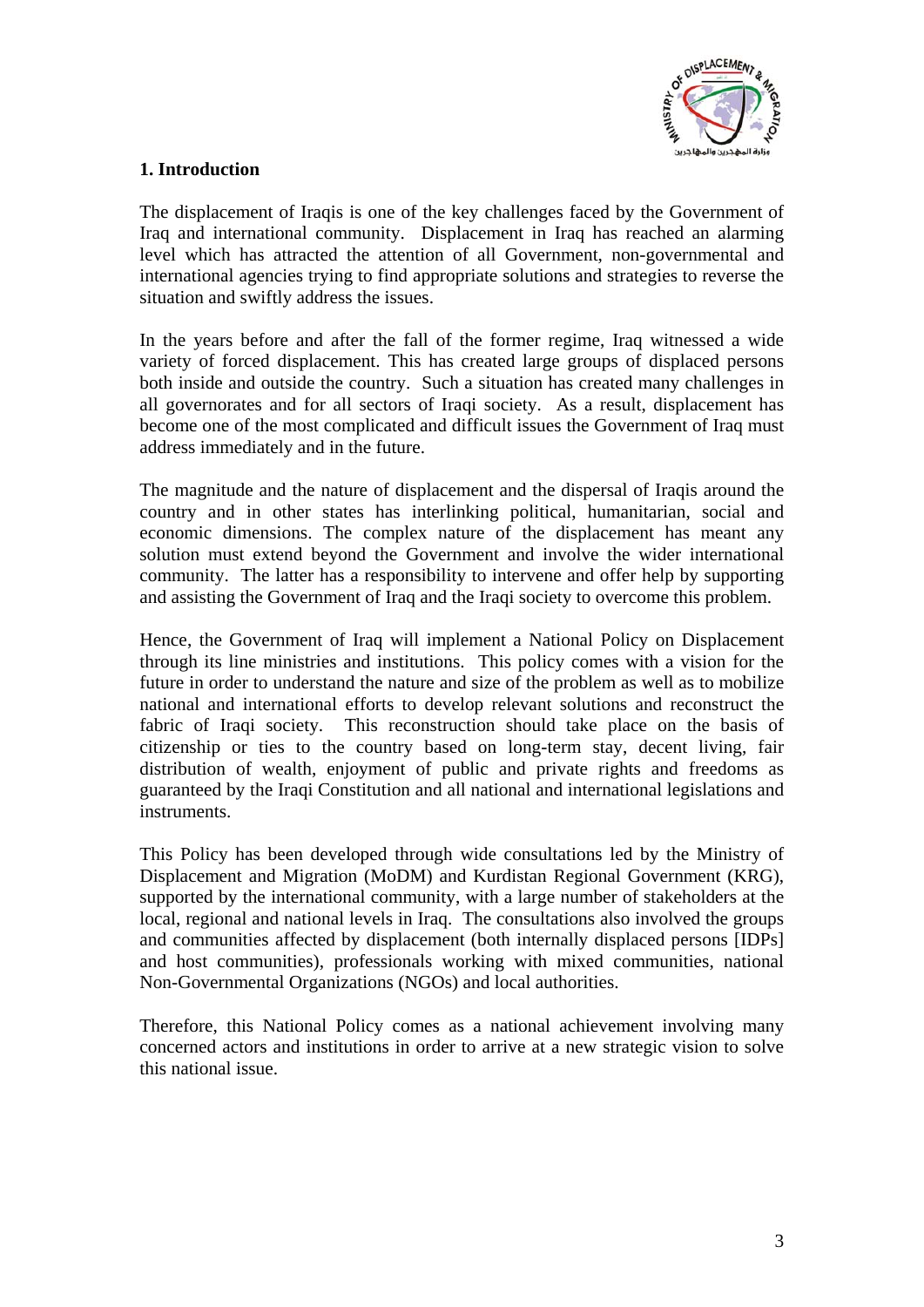

### <span id="page-2-0"></span>**1. Introduction**

The displacement of Iraqis is one of the key challenges faced by the Government of Iraq and international community. Displacement in Iraq has reached an alarming level which has attracted the attention of all Government, non-governmental and international agencies trying to find appropriate solutions and strategies to reverse the situation and swiftly address the issues.

In the years before and after the fall of the former regime, Iraq witnessed a wide variety of forced displacement. This has created large groups of displaced persons both inside and outside the country. Such a situation has created many challenges in all governorates and for all sectors of Iraqi society. As a result, displacement has become one of the most complicated and difficult issues the Government of Iraq must address immediately and in the future.

The magnitude and the nature of displacement and the dispersal of Iraqis around the country and in other states has interlinking political, humanitarian, social and economic dimensions. The complex nature of the displacement has meant any solution must extend beyond the Government and involve the wider international community. The latter has a responsibility to intervene and offer help by supporting and assisting the Government of Iraq and the Iraqi society to overcome this problem.

Hence, the Government of Iraq will implement a National Policy on Displacement through its line ministries and institutions. This policy comes with a vision for the future in order to understand the nature and size of the problem as well as to mobilize national and international efforts to develop relevant solutions and reconstruct the fabric of Iraqi society. This reconstruction should take place on the basis of citizenship or ties to the country based on long-term stay, decent living, fair distribution of wealth, enjoyment of public and private rights and freedoms as guaranteed by the Iraqi Constitution and all national and international legislations and instruments.

This Policy has been developed through wide consultations led by the Ministry of Displacement and Migration (MoDM) and Kurdistan Regional Government (KRG), supported by the international community, with a large number of stakeholders at the local, regional and national levels in Iraq. The consultations also involved the groups and communities affected by displacement (both internally displaced persons [IDPs] and host communities), professionals working with mixed communities, national Non-Governmental Organizations (NGOs) and local authorities.

Therefore, this National Policy comes as a national achievement involving many concerned actors and institutions in order to arrive at a new strategic vision to solve this national issue.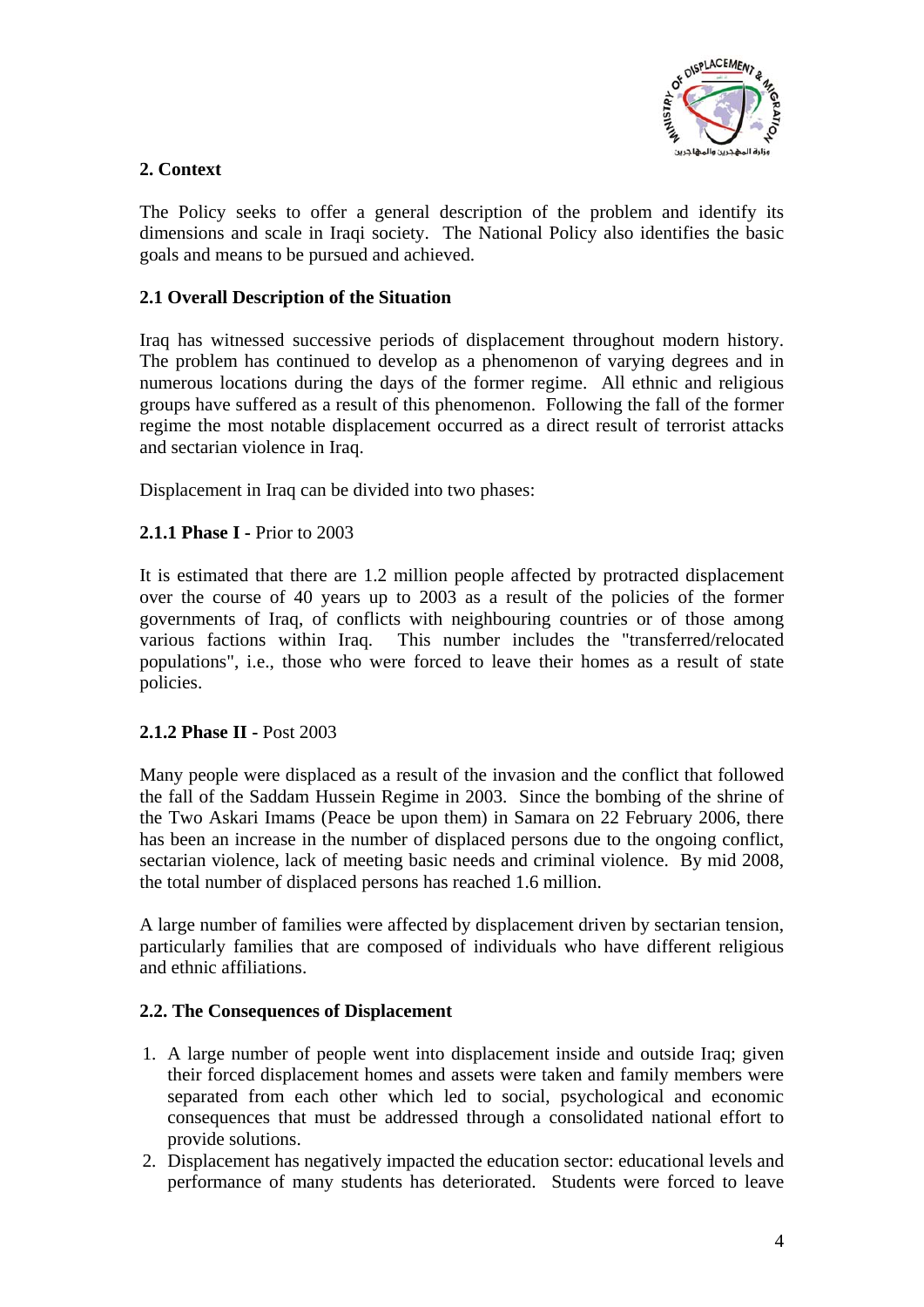

# <span id="page-3-0"></span>**2. Context**

The Policy seeks to offer a general description of the problem and identify its dimensions and scale in Iraqi society. The National Policy also identifies the basic goals and means to be pursued and achieved.

# **2.1 Overall Description of the Situation**

Iraq has witnessed successive periods of displacement throughout modern history. The problem has continued to develop as a phenomenon of varying degrees and in numerous locations during the days of the former regime. All ethnic and religious groups have suffered as a result of this phenomenon. Following the fall of the former regime the most notable displacement occurred as a direct result of terrorist attacks and sectarian violence in Iraq.

Displacement in Iraq can be divided into two phases:

# **2.1.1 Phase I -** Prior to 2003

It is estimated that there are 1.2 million people affected by protracted displacement over the course of 40 years up to 2003 as a result of the policies of the former governments of Iraq, of conflicts with neighbouring countries or of those among various factions within Iraq. This number includes the "transferred/relocated populations", i.e., those who were forced to leave their homes as a result of state policies.

# **2.1.2 Phase II -** Post 2003

Many people were displaced as a result of the invasion and the conflict that followed the fall of the Saddam Hussein Regime in 2003. Since the bombing of the shrine of the Two Askari Imams (Peace be upon them) in Samara on 22 February 2006, there has been an increase in the number of displaced persons due to the ongoing conflict, sectarian violence, lack of meeting basic needs and criminal violence. By mid 2008, the total number of displaced persons has reached 1.6 million.

A large number of families were affected by displacement driven by sectarian tension, particularly families that are composed of individuals who have different religious and ethnic affiliations.

# **2.2. The Consequences of Displacement**

- 1. A large number of people went into displacement inside and outside Iraq; given their forced displacement homes and assets were taken and family members were separated from each other which led to social, psychological and economic consequences that must be addressed through a consolidated national effort to provide solutions.
- 2. Displacement has negatively impacted the education sector: educational levels and performance of many students has deteriorated. Students were forced to leave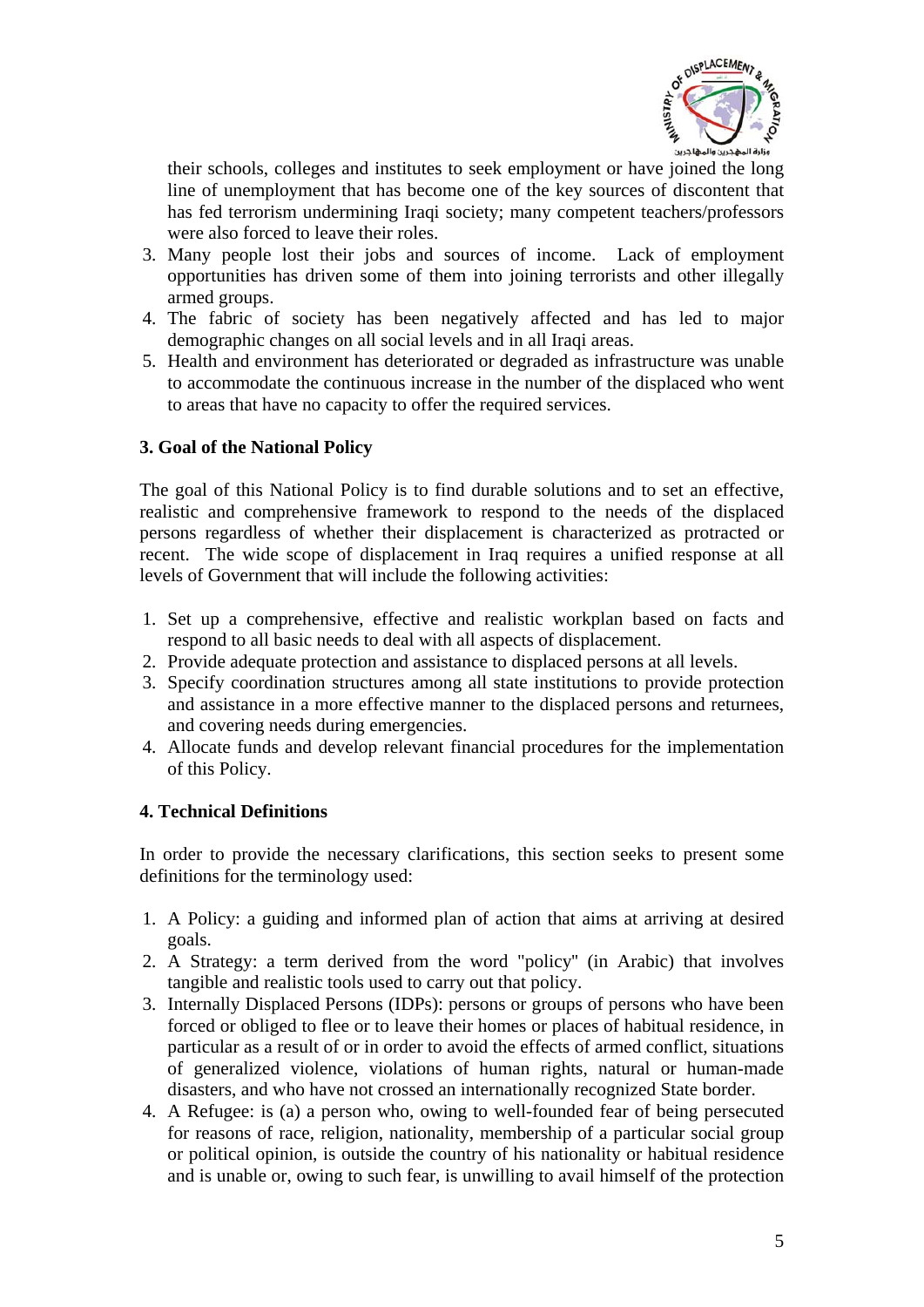

<span id="page-4-0"></span>their schools, colleges and institutes to seek employment or have joined the long line of unemployment that has become one of the key sources of discontent that has fed terrorism undermining Iraqi society; many competent teachers/professors were also forced to leave their roles.

- 3. Many people lost their jobs and sources of income. Lack of employment opportunities has driven some of them into joining terrorists and other illegally armed groups.
- 4. The fabric of society has been negatively affected and has led to major demographic changes on all social levels and in all Iraqi areas.
- 5. Health and environment has deteriorated or degraded as infrastructure was unable to accommodate the continuous increase in the number of the displaced who went to areas that have no capacity to offer the required services.

#### **3. Goal of the National Policy**

The goal of this National Policy is to find durable solutions and to set an effective, realistic and comprehensive framework to respond to the needs of the displaced persons regardless of whether their displacement is characterized as protracted or recent. The wide scope of displacement in Iraq requires a unified response at all levels of Government that will include the following activities:

- 1. Set up a comprehensive, effective and realistic workplan based on facts and respond to all basic needs to deal with all aspects of displacement.
- 2. Provide adequate protection and assistance to displaced persons at all levels.
- 3. Specify coordination structures among all state institutions to provide protection and assistance in a more effective manner to the displaced persons and returnees, and covering needs during emergencies.
- 4. Allocate funds and develop relevant financial procedures for the implementation of this Policy.

#### **4. Technical Definitions**

In order to provide the necessary clarifications, this section seeks to present some definitions for the terminology used:

- 1. A Policy: a guiding and informed plan of action that aims at arriving at desired goals.
- 2. A Strategy: a term derived from the word "policy'' (in Arabic) that involves tangible and realistic tools used to carry out that policy.
- 3. Internally Displaced Persons (IDPs): persons or groups of persons who have been forced or obliged to flee or to leave their homes or places of habitual residence, in particular as a result of or in order to avoid the effects of armed conflict, situations of generalized violence, violations of human rights, natural or human-made disasters, and who have not crossed an internationally recognized State border.
- 4. A Refugee: is (a) a person who, owing to well-founded fear of being persecuted for reasons of race, religion, nationality, membership of a particular social group or political opinion, is outside the country of his nationality or habitual residence and is unable or, owing to such fear, is unwilling to avail himself of the protection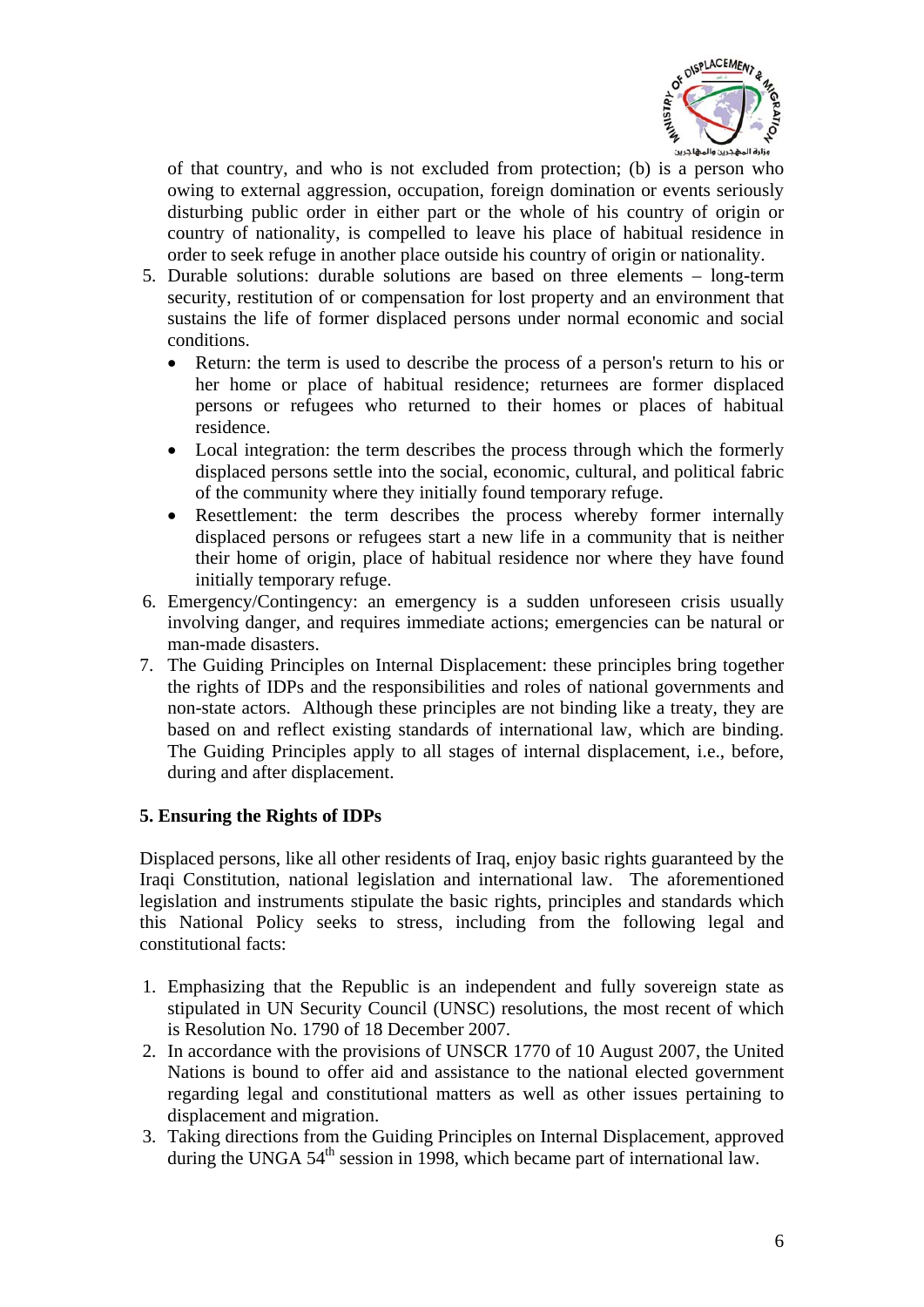

<span id="page-5-0"></span>of that country, and who is not excluded from protection; (b) is a person who owing to external aggression, occupation, foreign domination or events seriously disturbing public order in either part or the whole of his country of origin or country of nationality, is compelled to leave his place of habitual residence in order to seek refuge in another place outside his country of origin or nationality.

- 5. Durable solutions: durable solutions are based on three elements long-term security, restitution of or compensation for lost property and an environment that sustains the life of former displaced persons under normal economic and social conditions.
	- Return: the term is used to describe the process of a person's return to his or her home or place of habitual residence; returnees are former displaced persons or refugees who returned to their homes or places of habitual residence.
	- Local integration: the term describes the process through which the formerly displaced persons settle into the social, economic, cultural, and political fabric of the community where they initially found temporary refuge.
	- Resettlement: the term describes the process whereby former internally displaced persons or refugees start a new life in a community that is neither their home of origin, place of habitual residence nor where they have found initially temporary refuge.
- 6. Emergency/Contingency: an emergency is a sudden unforeseen crisis usually involving danger, and requires immediate actions; emergencies can be natural or man-made disasters.
- 7. The Guiding Principles on Internal Displacement: these principles bring together the rights of IDPs and the responsibilities and roles of national governments and non-state actors. Although these principles are not binding like a treaty, they are based on and reflect existing standards of international law, which are binding. The Guiding Principles apply to all stages of internal displacement, i.e., before, during and after displacement.

#### **5. Ensuring the Rights of IDPs**

Displaced persons, like all other residents of Iraq, enjoy basic rights guaranteed by the Iraqi Constitution, national legislation and international law. The aforementioned legislation and instruments stipulate the basic rights, principles and standards which this National Policy seeks to stress, including from the following legal and constitutional facts:

- 1. Emphasizing that the Republic is an independent and fully sovereign state as stipulated in UN Security Council (UNSC) resolutions, the most recent of which is Resolution No. 1790 of 18 December 2007.
- 2. In accordance with the provisions of UNSCR 1770 of 10 August 2007, the United Nations is bound to offer aid and assistance to the national elected government regarding legal and constitutional matters as well as other issues pertaining to displacement and migration.
- 3. Taking directions from the Guiding Principles on Internal Displacement, approved during the UNGA 54<sup>th</sup> session in 1998, which became part of international law.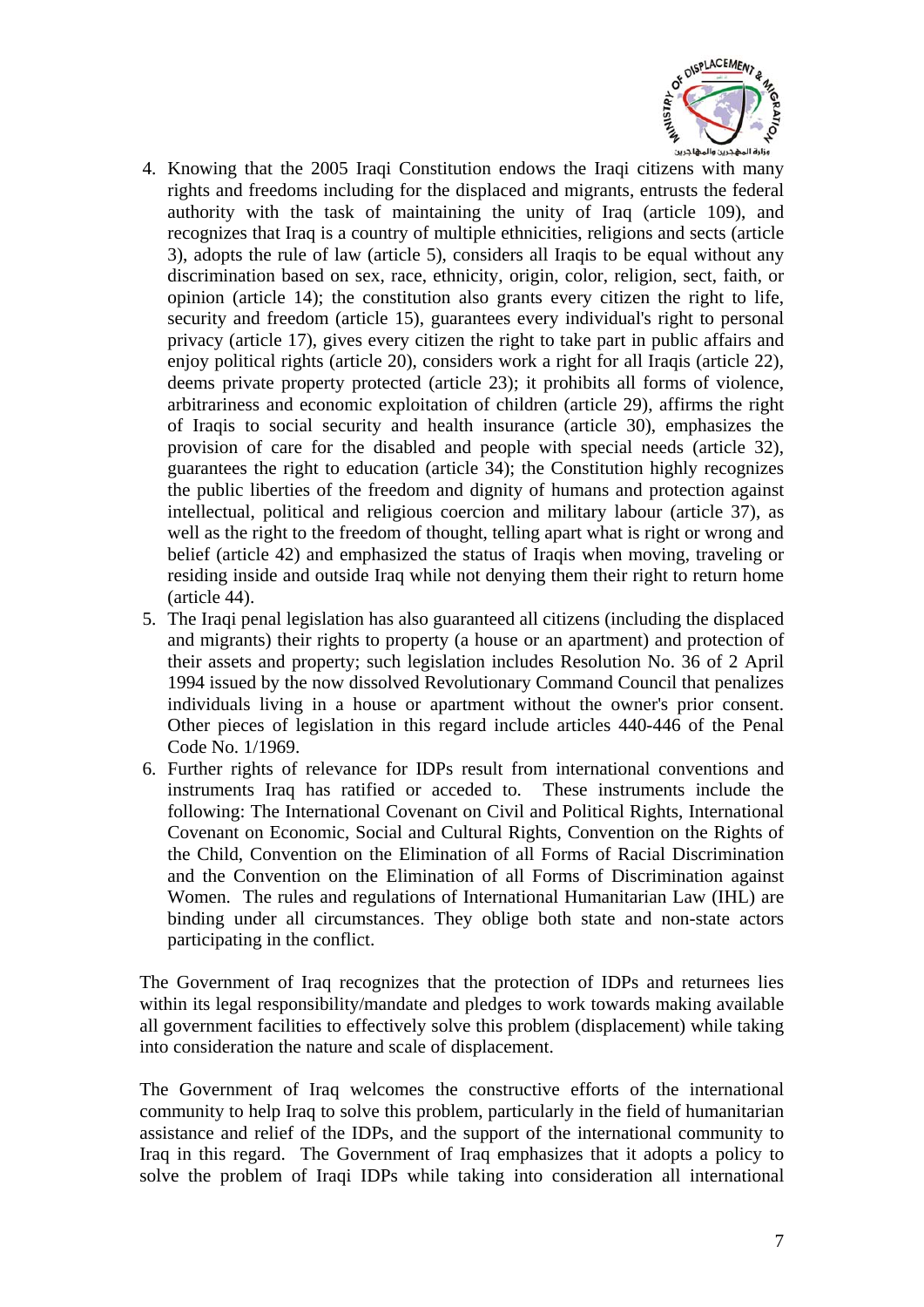

- 4. Knowing that the 2005 Iraqi Constitution endows the Iraqi citizens with many rights and freedoms including for the displaced and migrants, entrusts the federal authority with the task of maintaining the unity of Iraq (article 109), and recognizes that Iraq is a country of multiple ethnicities, religions and sects (article 3), adopts the rule of law (article 5), considers all Iraqis to be equal without any discrimination based on sex, race, ethnicity, origin, color, religion, sect, faith, or opinion (article 14); the constitution also grants every citizen the right to life, security and freedom (article 15), guarantees every individual's right to personal privacy (article 17), gives every citizen the right to take part in public affairs and enjoy political rights (article 20), considers work a right for all Iraqis (article 22), deems private property protected (article 23); it prohibits all forms of violence, arbitrariness and economic exploitation of children (article 29), affirms the right of Iraqis to social security and health insurance (article 30), emphasizes the provision of care for the disabled and people with special needs (article 32), guarantees the right to education (article 34); the Constitution highly recognizes the public liberties of the freedom and dignity of humans and protection against intellectual, political and religious coercion and military labour (article 37), as well as the right to the freedom of thought, telling apart what is right or wrong and belief (article 42) and emphasized the status of Iraqis when moving, traveling or residing inside and outside Iraq while not denying them their right to return home (article 44).
- 5. The Iraqi penal legislation has also guaranteed all citizens (including the displaced and migrants) their rights to property (a house or an apartment) and protection of their assets and property; such legislation includes Resolution No. 36 of 2 April 1994 issued by the now dissolved Revolutionary Command Council that penalizes individuals living in a house or apartment without the owner's prior consent. Other pieces of legislation in this regard include articles 440-446 of the Penal Code No. 1/1969.
- 6. Further rights of relevance for IDPs result from international conventions and instruments Iraq has ratified or acceded to. These instruments include the following: The International Covenant on Civil and Political Rights, International Covenant on Economic, Social and Cultural Rights, Convention on the Rights of the Child, Convention on the Elimination of all Forms of Racial Discrimination and the Convention on the Elimination of all Forms of Discrimination against Women. The rules and regulations of International Humanitarian Law (IHL) are binding under all circumstances. They oblige both state and non-state actors participating in the conflict.

The Government of Iraq recognizes that the protection of IDPs and returnees lies within its legal responsibility/mandate and pledges to work towards making available all government facilities to effectively solve this problem (displacement) while taking into consideration the nature and scale of displacement.

The Government of Iraq welcomes the constructive efforts of the international community to help Iraq to solve this problem, particularly in the field of humanitarian assistance and relief of the IDPs, and the support of the international community to Iraq in this regard. The Government of Iraq emphasizes that it adopts a policy to solve the problem of Iraqi IDPs while taking into consideration all international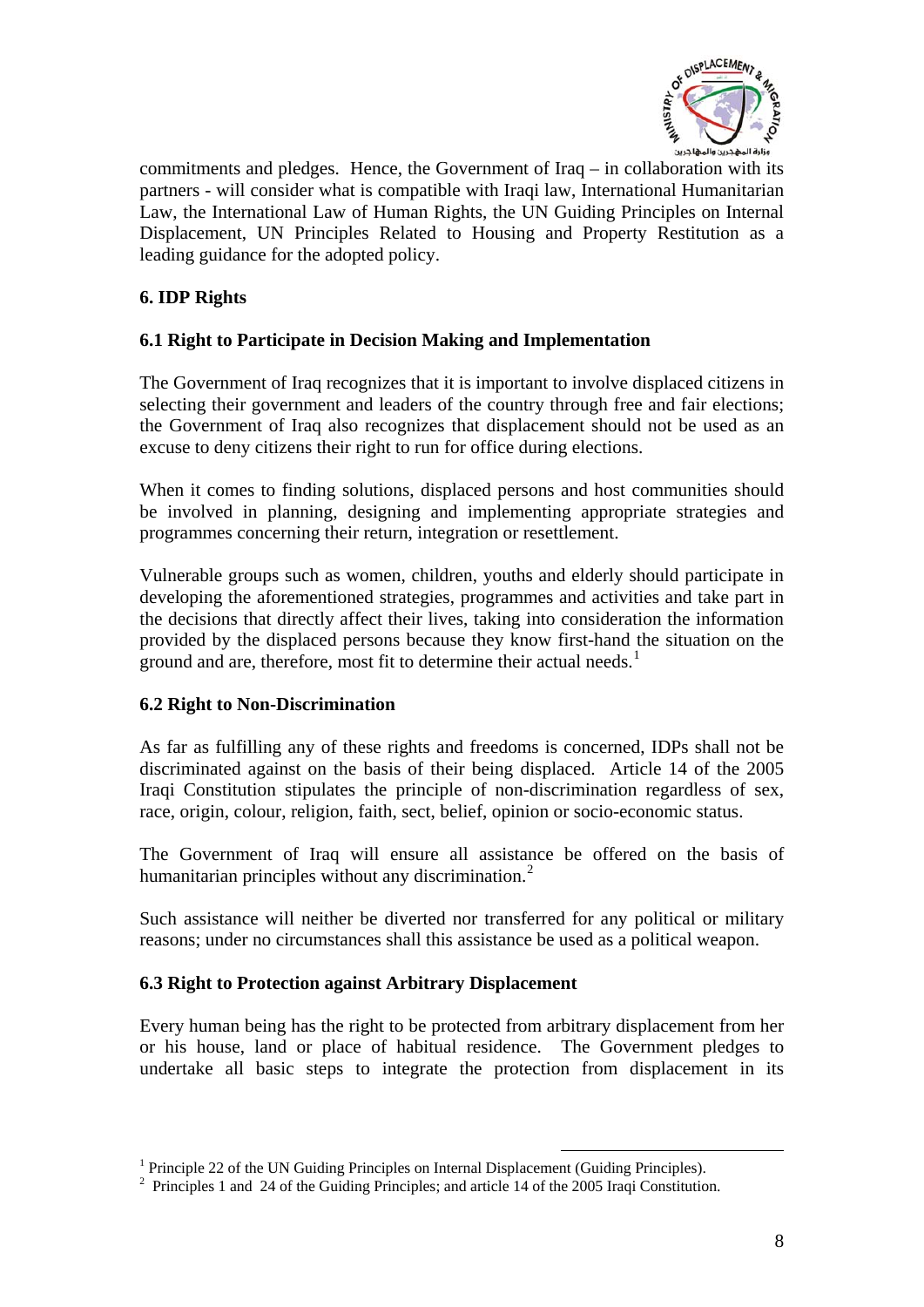

<span id="page-7-0"></span>commitments and pledges. Hence, the Government of Iraq – in collaboration with its partners - will consider what is compatible with Iraqi law, International Humanitarian Law, the International Law of Human Rights, the UN Guiding Principles on Internal Displacement, UN Principles Related to Housing and Property Restitution as a leading guidance for the adopted policy.

# **6. IDP Rights**

#### **6.1 Right to Participate in Decision Making and Implementation**

The Government of Iraq recognizes that it is important to involve displaced citizens in selecting their government and leaders of the country through free and fair elections; the Government of Iraq also recognizes that displacement should not be used as an excuse to deny citizens their right to run for office during elections.

When it comes to finding solutions, displaced persons and host communities should be involved in planning, designing and implementing appropriate strategies and programmes concerning their return, integration or resettlement.

Vulnerable groups such as women, children, youths and elderly should participate in developing the aforementioned strategies, programmes and activities and take part in the decisions that directly affect their lives, taking into consideration the information provided by the displaced persons because they know first-hand the situation on the ground and are, therefore, most fit to determine their actual needs.<sup>[1](#page-7-1)</sup>

#### **6.2 Right to Non-Discrimination**

As far as fulfilling any of these rights and freedoms is concerned, IDPs shall not be discriminated against on the basis of their being displaced. Article 14 of the 2005 Iraqi Constitution stipulates the principle of non-discrimination regardless of sex, race, origin, colour, religion, faith, sect, belief, opinion or socio-economic status.

The Government of Iraq will ensure all assistance be offered on the basis of humanitarian principles without any discrimination.<sup>[2](#page-7-2)</sup>

Such assistance will neither be diverted nor transferred for any political or military reasons; under no circumstances shall this assistance be used as a political weapon.

#### **6.3 Right to Protection against Arbitrary Displacement**

Every human being has the right to be protected from arbitrary displacement from her or his house, land or place of habitual residence. The Government pledges to undertake all basic steps to integrate the protection from displacement in its

<u>.</u>

<sup>&</sup>lt;sup>1</sup> Principle 22 of the UN Guiding Principles on Internal Displacement (Guiding Principles).<br><sup>2</sup> Principles 1 and 24 of the Guiding Principles: and article 14 of the 2005 Iraqi Constitution

<span id="page-7-2"></span><span id="page-7-1"></span><sup>&</sup>lt;sup>2</sup> Principles 1 and 24 of the Guiding Principles; and article 14 of the 2005 Iraqi Constitution.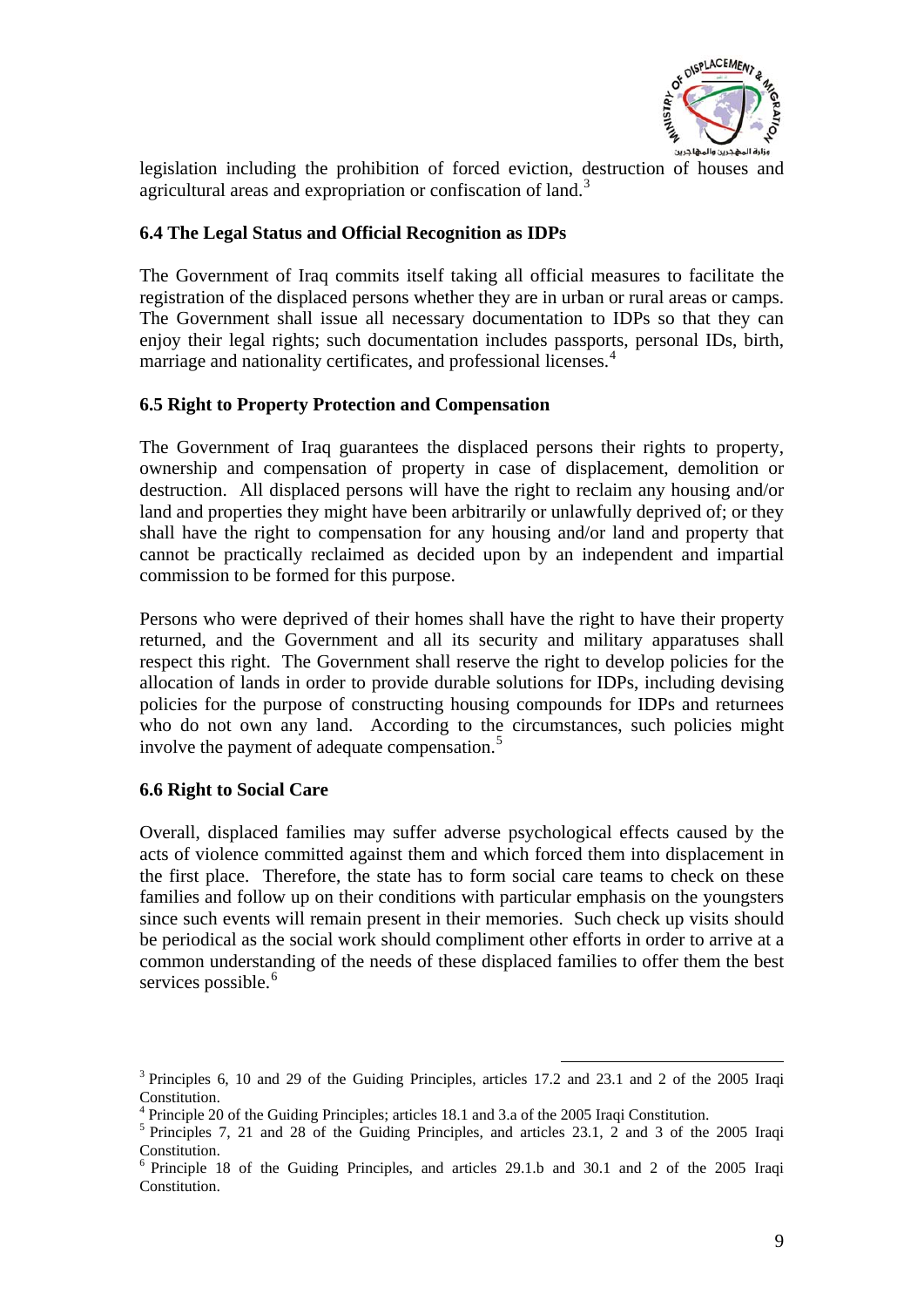

<span id="page-8-0"></span>legislation including the prohibition of forced eviction, destruction of houses and agricultural areas and expropriation or confiscation of land.<sup>[3](#page-8-1)</sup>

#### **6.4 The Legal Status and Official Recognition as IDPs**

The Government of Iraq commits itself taking all official measures to facilitate the registration of the displaced persons whether they are in urban or rural areas or camps. The Government shall issue all necessary documentation to IDPs so that they can enjoy their legal rights; such documentation includes passports, personal IDs, birth, marriage and nationality certificates, and professional licenses.<sup>[4](#page-8-2)</sup>

#### **6.5 Right to Property Protection and Compensation**

The Government of Iraq guarantees the displaced persons their rights to property, ownership and compensation of property in case of displacement, demolition or destruction. All displaced persons will have the right to reclaim any housing and/or land and properties they might have been arbitrarily or unlawfully deprived of; or they shall have the right to compensation for any housing and/or land and property that cannot be practically reclaimed as decided upon by an independent and impartial commission to be formed for this purpose.

Persons who were deprived of their homes shall have the right to have their property returned, and the Government and all its security and military apparatuses shall respect this right. The Government shall reserve the right to develop policies for the allocation of lands in order to provide durable solutions for IDPs, including devising policies for the purpose of constructing housing compounds for IDPs and returnees who do not own any land. According to the circumstances, such policies might involve the payment of adequate compensation.<sup>[5](#page-8-3)</sup>

#### **6.6 Right to Social Care**

Overall, displaced families may suffer adverse psychological effects caused by the acts of violence committed against them and which forced them into displacement in the first place. Therefore, the state has to form social care teams to check on these families and follow up on their conditions with particular emphasis on the youngsters since such events will remain present in their memories. Such check up visits should be periodical as the social work should compliment other efforts in order to arrive at a common understanding of the needs of these displaced families to offer them the best services possible.<sup>[6](#page-8-4)</sup>

1

<span id="page-8-1"></span><sup>&</sup>lt;sup>3</sup> Principles 6, 10 and 29 of the Guiding Principles, articles 17.2 and 23.1 and 2 of the 2005 Iraqi Constitution.

 $^{4}$  Principle 20 of the Guiding Principles; articles 18.1 and 3.a of the 2005 Iraqi Constitution.

<span id="page-8-3"></span><span id="page-8-2"></span> $5$  Principles 7, 21 and 28 of the Guiding Principles, and articles 23.1, 2 and 3 of the 2005 Iraqi Constitution.

<span id="page-8-4"></span><sup>6</sup> Principle 18 of the Guiding Principles, and articles 29.1.b and 30.1 and 2 of the 2005 Iraqi Constitution.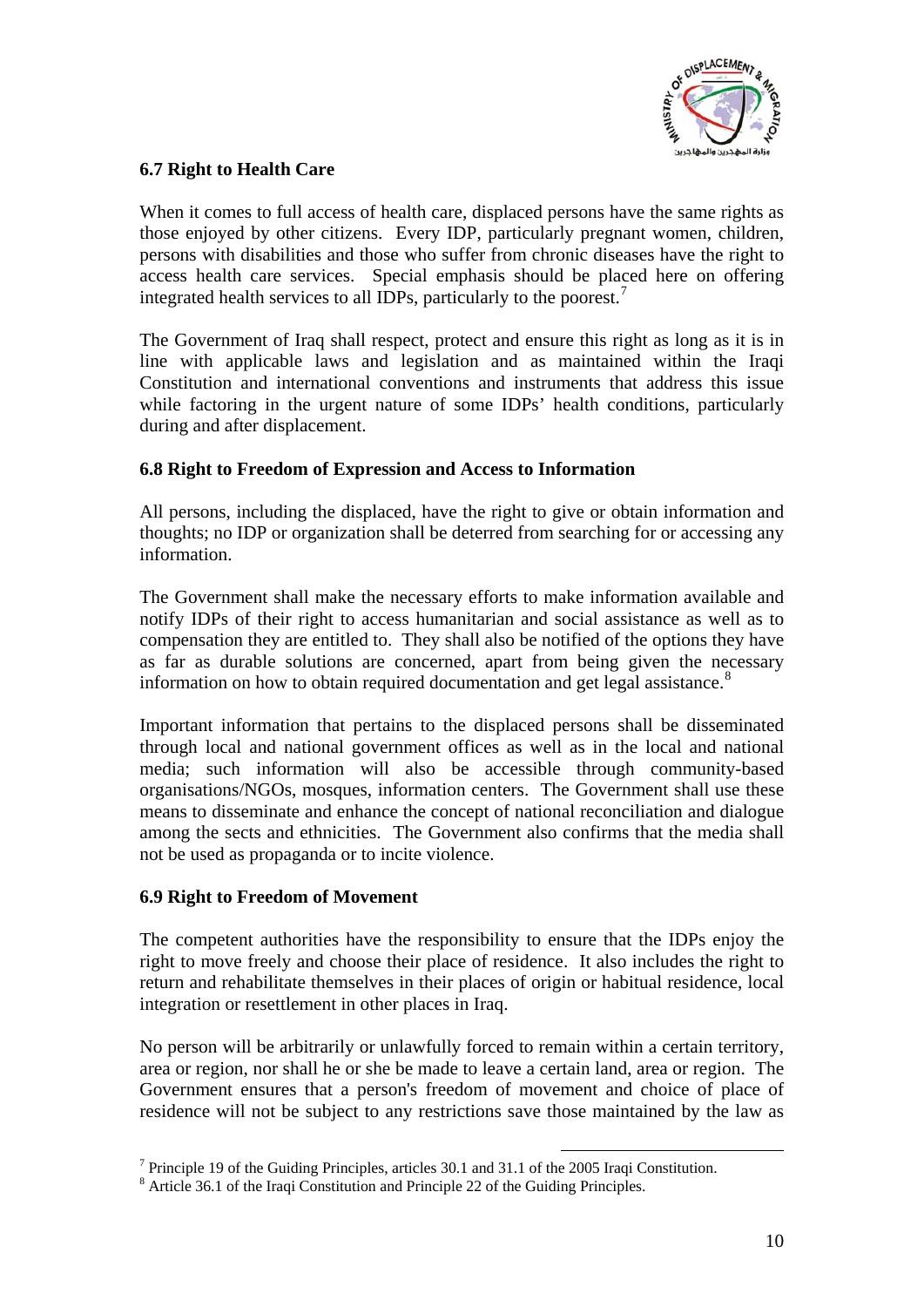

### <span id="page-9-0"></span>**6.7 Right to Health Care**

When it comes to full access of health care, displaced persons have the same rights as those enjoyed by other citizens. Every IDP, particularly pregnant women, children, persons with disabilities and those who suffer from chronic diseases have the right to access health care services. Special emphasis should be placed here on offering integrated health services to all IDPs, particularly to the poorest.<sup>[7](#page-9-1)</sup>

The Government of Iraq shall respect, protect and ensure this right as long as it is in line with applicable laws and legislation and as maintained within the Iraqi Constitution and international conventions and instruments that address this issue while factoring in the urgent nature of some IDPs' health conditions, particularly during and after displacement.

#### **6.8 Right to Freedom of Expression and Access to Information**

All persons, including the displaced, have the right to give or obtain information and thoughts; no IDP or organization shall be deterred from searching for or accessing any information.

The Government shall make the necessary efforts to make information available and notify IDPs of their right to access humanitarian and social assistance as well as to compensation they are entitled to. They shall also be notified of the options they have as far as durable solutions are concerned, apart from being given the necessary information on how to obtain required documentation and get legal assistance.<sup>[8](#page-9-2)</sup>

Important information that pertains to the displaced persons shall be disseminated through local and national government offices as well as in the local and national media; such information will also be accessible through community-based organisations/NGOs, mosques, information centers. The Government shall use these means to disseminate and enhance the concept of national reconciliation and dialogue among the sects and ethnicities. The Government also confirms that the media shall not be used as propaganda or to incite violence.

#### **6.9 Right to Freedom of Movement**

The competent authorities have the responsibility to ensure that the IDPs enjoy the right to move freely and choose their place of residence. It also includes the right to return and rehabilitate themselves in their places of origin or habitual residence, local integration or resettlement in other places in Iraq.

No person will be arbitrarily or unlawfully forced to remain within a certain territory, area or region, nor shall he or she be made to leave a certain land, area or region. The Government ensures that a person's freedom of movement and choice of place of residence will not be subject to any restrictions save those maintained by the law as

<sup>&</sup>lt;u>.</u> <sup>7</sup> Principle 19 of the Guiding Principles, articles 30.1 and 31.1 of the 2005 Iraqi Constitution.

<span id="page-9-2"></span><span id="page-9-1"></span><sup>&</sup>lt;sup>8</sup> Article 36.1 of the Iraqi Constitution and Principle 22 of the Guiding Principles.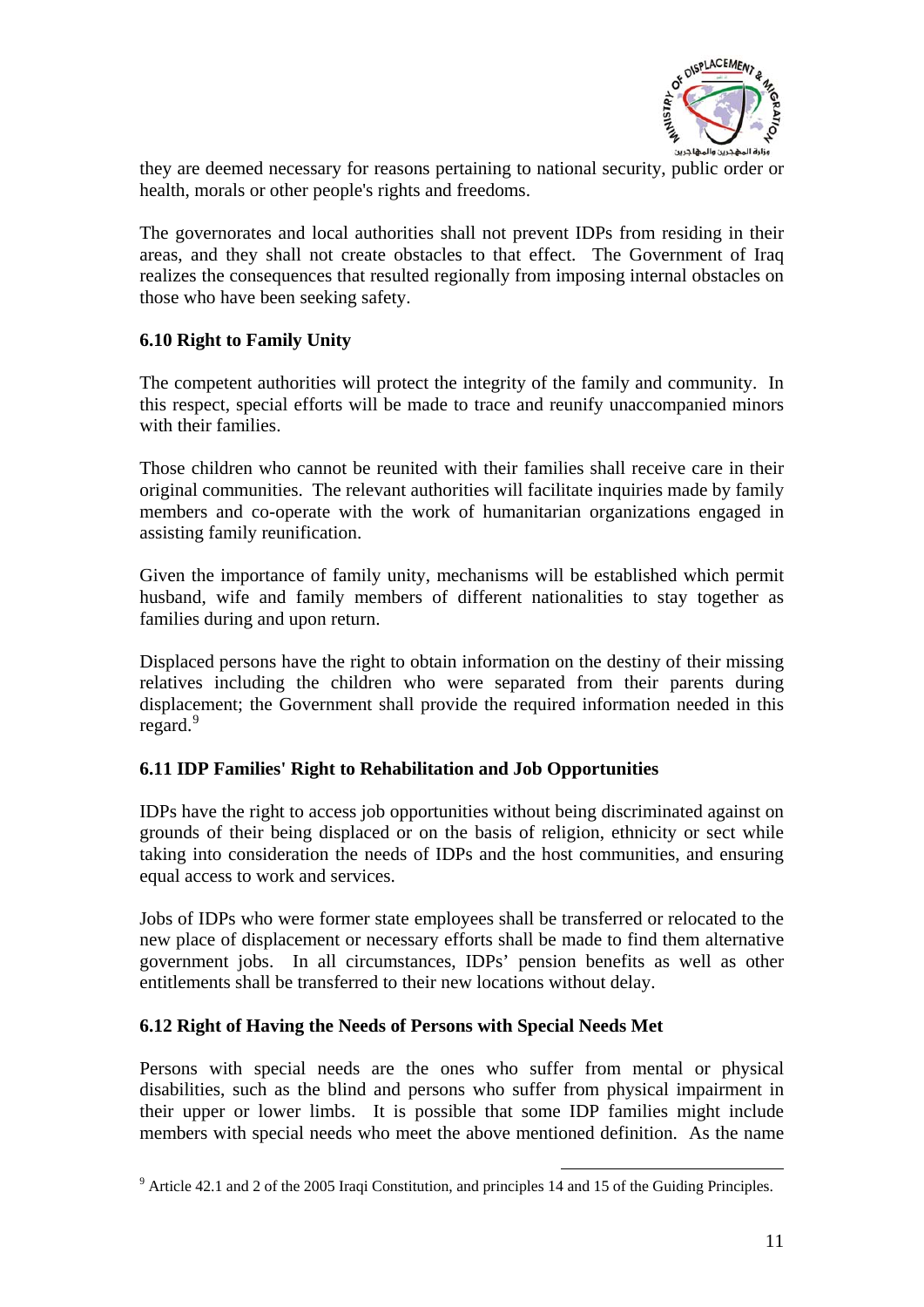

<span id="page-10-0"></span>they are deemed necessary for reasons pertaining to national security, public order or health, morals or other people's rights and freedoms.

The governorates and local authorities shall not prevent IDPs from residing in their areas, and they shall not create obstacles to that effect. The Government of Iraq realizes the consequences that resulted regionally from imposing internal obstacles on those who have been seeking safety.

# **6.10 Right to Family Unity**

The competent authorities will protect the integrity of the family and community. In this respect, special efforts will be made to trace and reunify unaccompanied minors with their families.

Those children who cannot be reunited with their families shall receive care in their original communities. The relevant authorities will facilitate inquiries made by family members and co-operate with the work of humanitarian organizations engaged in assisting family reunification.

Given the importance of family unity, mechanisms will be established which permit husband, wife and family members of different nationalities to stay together as families during and upon return.

Displaced persons have the right to obtain information on the destiny of their missing relatives including the children who were separated from their parents during displacement; the Government shall provide the required information needed in this  $regard.<sup>9</sup>$  $regard.<sup>9</sup>$  $regard.<sup>9</sup>$ 

#### **6.11 IDP Families' Right to Rehabilitation and Job Opportunities**

IDPs have the right to access job opportunities without being discriminated against on grounds of their being displaced or on the basis of religion, ethnicity or sect while taking into consideration the needs of IDPs and the host communities, and ensuring equal access to work and services.

Jobs of IDPs who were former state employees shall be transferred or relocated to the new place of displacement or necessary efforts shall be made to find them alternative government jobs. In all circumstances, IDPs' pension benefits as well as other entitlements shall be transferred to their new locations without delay.

#### **6.12 Right of Having the Needs of Persons with Special Needs Met**

Persons with special needs are the ones who suffer from mental or physical disabilities, such as the blind and persons who suffer from physical impairment in their upper or lower limbs. It is possible that some IDP families might include members with special needs who meet the above mentioned definition. As the name

1

<span id="page-10-1"></span><sup>&</sup>lt;sup>9</sup> Article 42.1 and 2 of the 2005 Iraqi Constitution, and principles 14 and 15 of the Guiding Principles.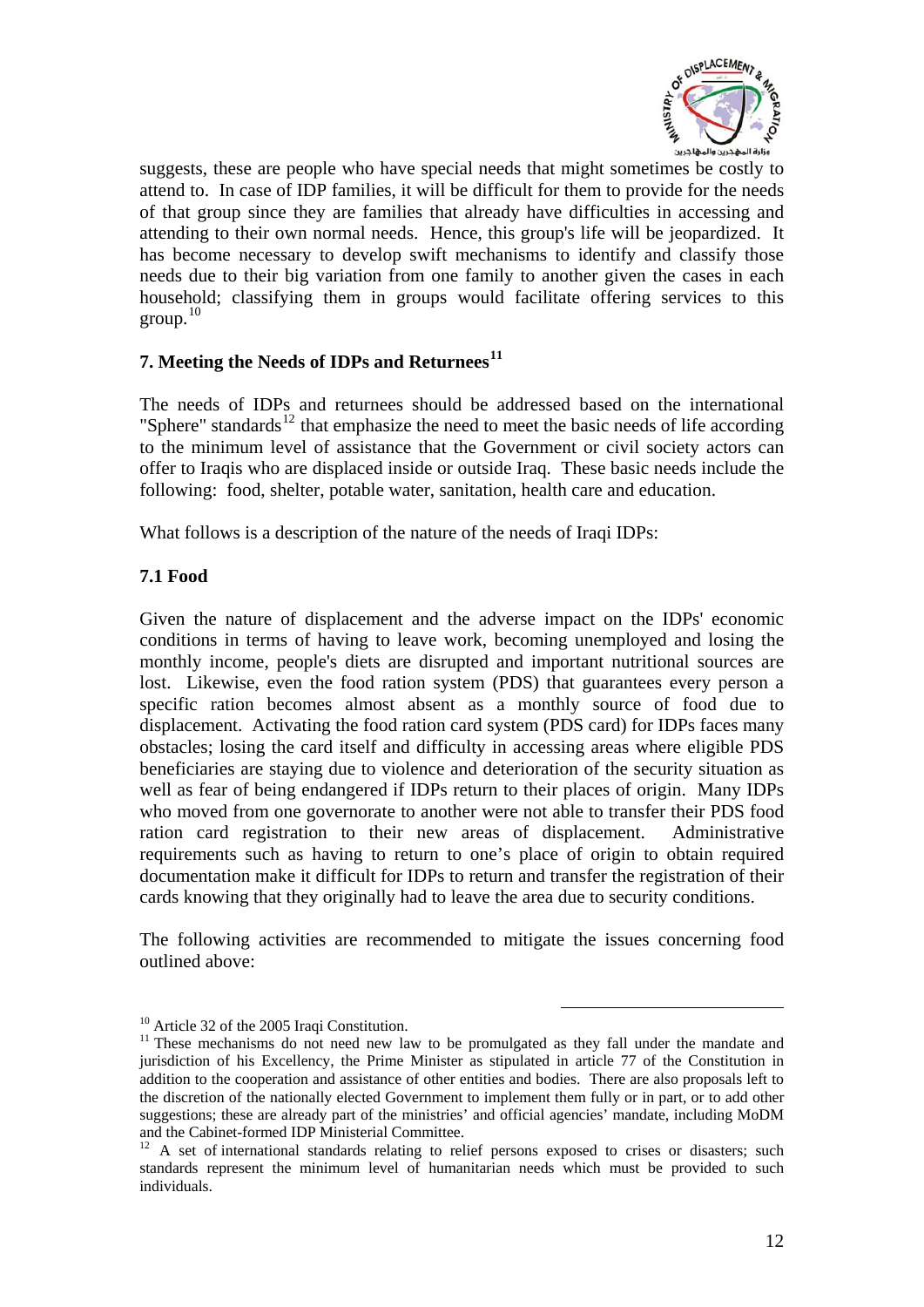

<span id="page-11-0"></span>suggests, these are people who have special needs that might sometimes be costly to attend to. In case of IDP families, it will be difficult for them to provide for the needs of that group since they are families that already have difficulties in accessing and attending to their own normal needs. Hence, this group's life will be jeopardized. It has become necessary to develop swift mechanisms to identify and classify those needs due to their big variation from one family to another given the cases in each household; classifying them in groups would facilitate offering services to this group. $10$ 

#### **7. Meeting the Needs of IDPs and Returnees[11](#page-11-2)**

The needs of IDPs and returnees should be addressed based on the international "Sphere" standards<sup>[12](#page-11-3)</sup> that emphasize the need to meet the basic needs of life according to the minimum level of assistance that the Government or civil society actors can offer to Iraqis who are displaced inside or outside Iraq. These basic needs include the following: food, shelter, potable water, sanitation, health care and education.

What follows is a description of the nature of the needs of Iraqi IDPs:

# **7.1 Food**

Given the nature of displacement and the adverse impact on the IDPs' economic conditions in terms of having to leave work, becoming unemployed and losing the monthly income, people's diets are disrupted and important nutritional sources are lost. Likewise, even the food ration system (PDS) that guarantees every person a specific ration becomes almost absent as a monthly source of food due to displacement. Activating the food ration card system (PDS card) for IDPs faces many obstacles; losing the card itself and difficulty in accessing areas where eligible PDS beneficiaries are staying due to violence and deterioration of the security situation as well as fear of being endangered if IDPs return to their places of origin. Many IDPs who moved from one governorate to another were not able to transfer their PDS food ration card registration to their new areas of displacement. Administrative requirements such as having to return to one's place of origin to obtain required documentation make it difficult for IDPs to return and transfer the registration of their cards knowing that they originally had to leave the area due to security conditions.

The following activities are recommended to mitigate the issues concerning food outlined above:

1

<sup>&</sup>lt;sup>10</sup> Article 32 of the 2005 Iraqi Constitution.

<span id="page-11-2"></span><span id="page-11-1"></span> $11$  These mechanisms do not need new law to be promulgated as they fall under the mandate and jurisdiction of his Excellency, the Prime Minister as stipulated in article 77 of the Constitution in addition to the cooperation and assistance of other entities and bodies. There are also proposals left to the discretion of the nationally elected Government to implement them fully or in part, or to add other suggestions; these are already part of the ministries' and official agencies' mandate, including MoDM and the Cabinet-formed IDP Ministerial Committee.<br><sup>12</sup> A set of international standards relating to relief persons exposed to crises or disasters; such

<span id="page-11-3"></span>standards represent the minimum level of humanitarian needs which must be provided to such individuals.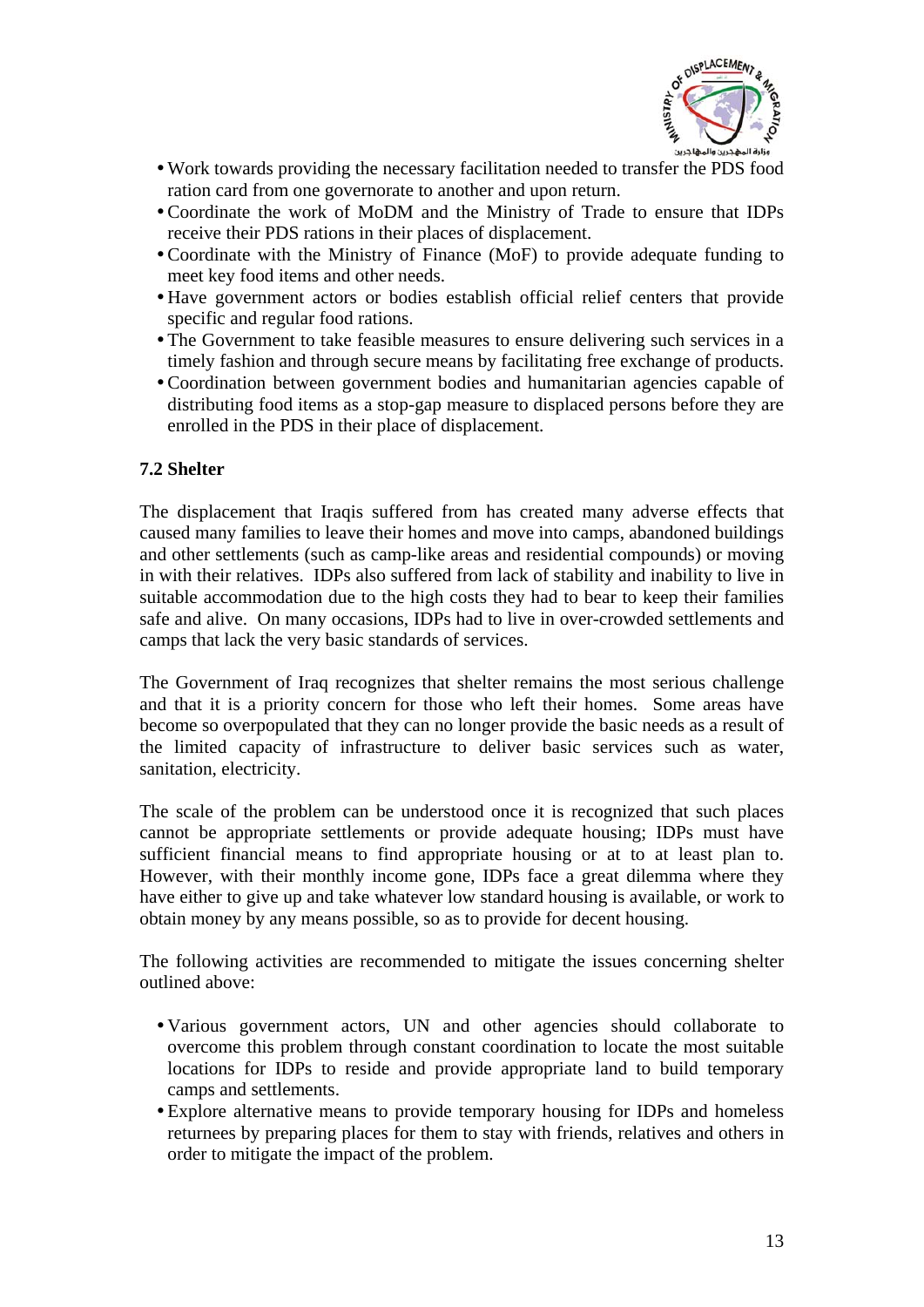

- <span id="page-12-0"></span>yWork towards providing the necessary facilitation needed to transfer the PDS food ration card from one governorate to another and upon return.
- Coordinate the work of MoDM and the Ministry of Trade to ensure that IDPs receive their PDS rations in their places of displacement.
- Coordinate with the Ministry of Finance (MoF) to provide adequate funding to meet key food items and other needs.
- yHave government actors or bodies establish official relief centers that provide specific and regular food rations.
- The Government to take feasible measures to ensure delivering such services in a timely fashion and through secure means by facilitating free exchange of products.
- Coordination between government bodies and humanitarian agencies capable of distributing food items as a stop-gap measure to displaced persons before they are enrolled in the PDS in their place of displacement.

#### **7.2 Shelter**

The displacement that Iraqis suffered from has created many adverse effects that caused many families to leave their homes and move into camps, abandoned buildings and other settlements (such as camp-like areas and residential compounds) or moving in with their relatives. IDPs also suffered from lack of stability and inability to live in suitable accommodation due to the high costs they had to bear to keep their families safe and alive. On many occasions, IDPs had to live in over-crowded settlements and camps that lack the very basic standards of services.

The Government of Iraq recognizes that shelter remains the most serious challenge and that it is a priority concern for those who left their homes. Some areas have become so overpopulated that they can no longer provide the basic needs as a result of the limited capacity of infrastructure to deliver basic services such as water, sanitation, electricity.

The scale of the problem can be understood once it is recognized that such places cannot be appropriate settlements or provide adequate housing; IDPs must have sufficient financial means to find appropriate housing or at to at least plan to. However, with their monthly income gone, IDPs face a great dilemma where they have either to give up and take whatever low standard housing is available, or work to obtain money by any means possible, so as to provide for decent housing.

The following activities are recommended to mitigate the issues concerning shelter outlined above:

- Various government actors, UN and other agencies should collaborate to overcome this problem through constant coordination to locate the most suitable locations for IDPs to reside and provide appropriate land to build temporary camps and settlements.
- Explore alternative means to provide temporary housing for IDPs and homeless returnees by preparing places for them to stay with friends, relatives and others in order to mitigate the impact of the problem.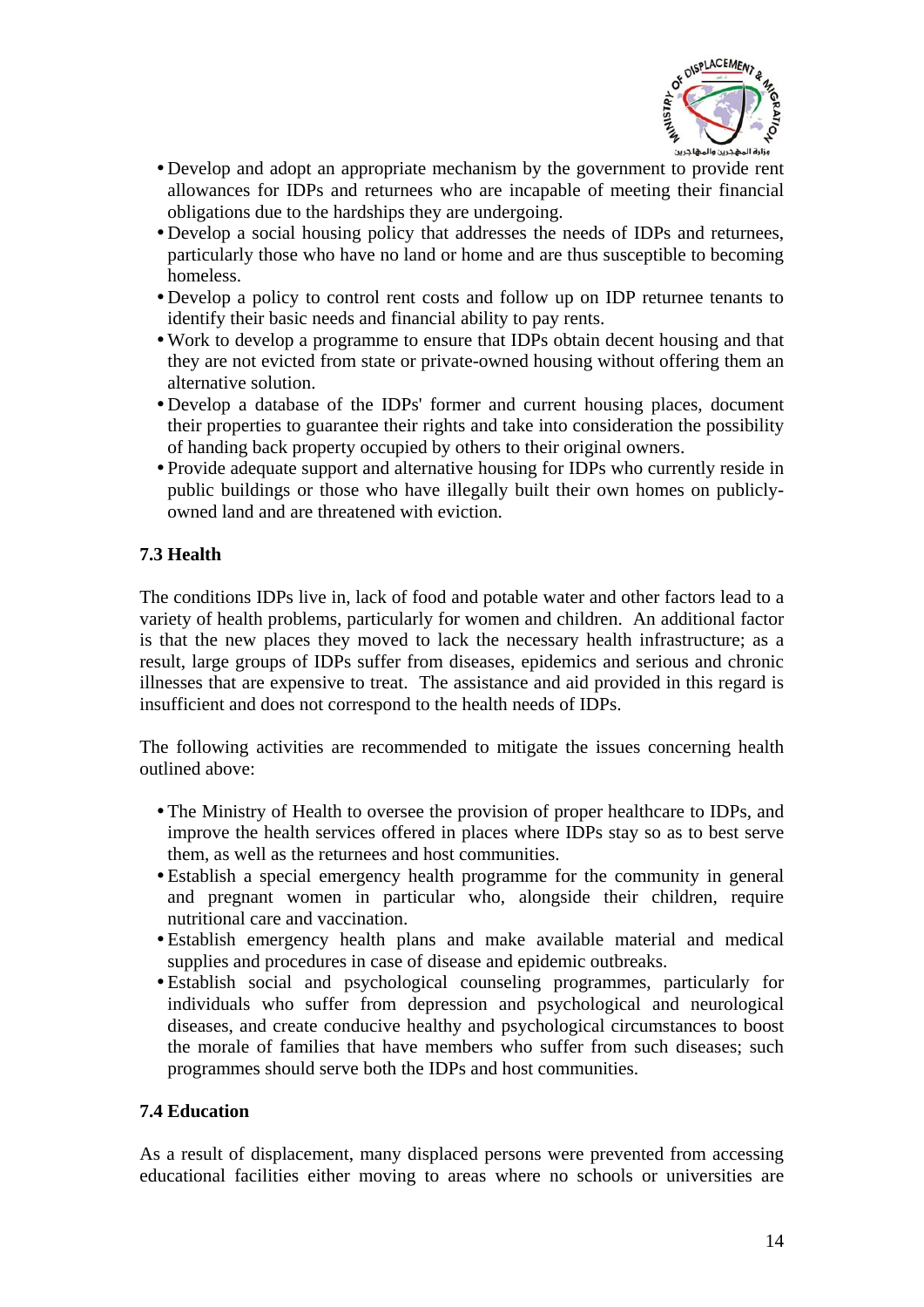

- <span id="page-13-0"></span>• Develop and adopt an appropriate mechanism by the government to provide rent allowances for IDPs and returnees who are incapable of meeting their financial obligations due to the hardships they are undergoing.
- Develop a social housing policy that addresses the needs of IDPs and returnees, particularly those who have no land or home and are thus susceptible to becoming homeless.
- Develop a policy to control rent costs and follow up on IDP returnee tenants to identify their basic needs and financial ability to pay rents.
- Work to develop a programme to ensure that IDPs obtain decent housing and that they are not evicted from state or private-owned housing without offering them an alternative solution.
- Develop a database of the IDPs' former and current housing places, document their properties to guarantee their rights and take into consideration the possibility of handing back property occupied by others to their original owners.
- Provide adequate support and alternative housing for IDPs who currently reside in public buildings or those who have illegally built their own homes on publiclyowned land and are threatened with eviction.

# **7.3 Health**

The conditions IDPs live in, lack of food and potable water and other factors lead to a variety of health problems, particularly for women and children. An additional factor is that the new places they moved to lack the necessary health infrastructure; as a result, large groups of IDPs suffer from diseases, epidemics and serious and chronic illnesses that are expensive to treat. The assistance and aid provided in this regard is insufficient and does not correspond to the health needs of IDPs.

The following activities are recommended to mitigate the issues concerning health outlined above:

- The Ministry of Health to oversee the provision of proper healthcare to IDPs, and improve the health services offered in places where IDPs stay so as to best serve them, as well as the returnees and host communities.
- Establish a special emergency health programme for the community in general and pregnant women in particular who, alongside their children, require nutritional care and vaccination.
- yEstablish emergency health plans and make available material and medical supplies and procedures in case of disease and epidemic outbreaks.
- yEstablish social and psychological counseling programmes, particularly for individuals who suffer from depression and psychological and neurological diseases, and create conducive healthy and psychological circumstances to boost the morale of families that have members who suffer from such diseases; such programmes should serve both the IDPs and host communities.

#### **7.4 Education**

As a result of displacement, many displaced persons were prevented from accessing educational facilities either moving to areas where no schools or universities are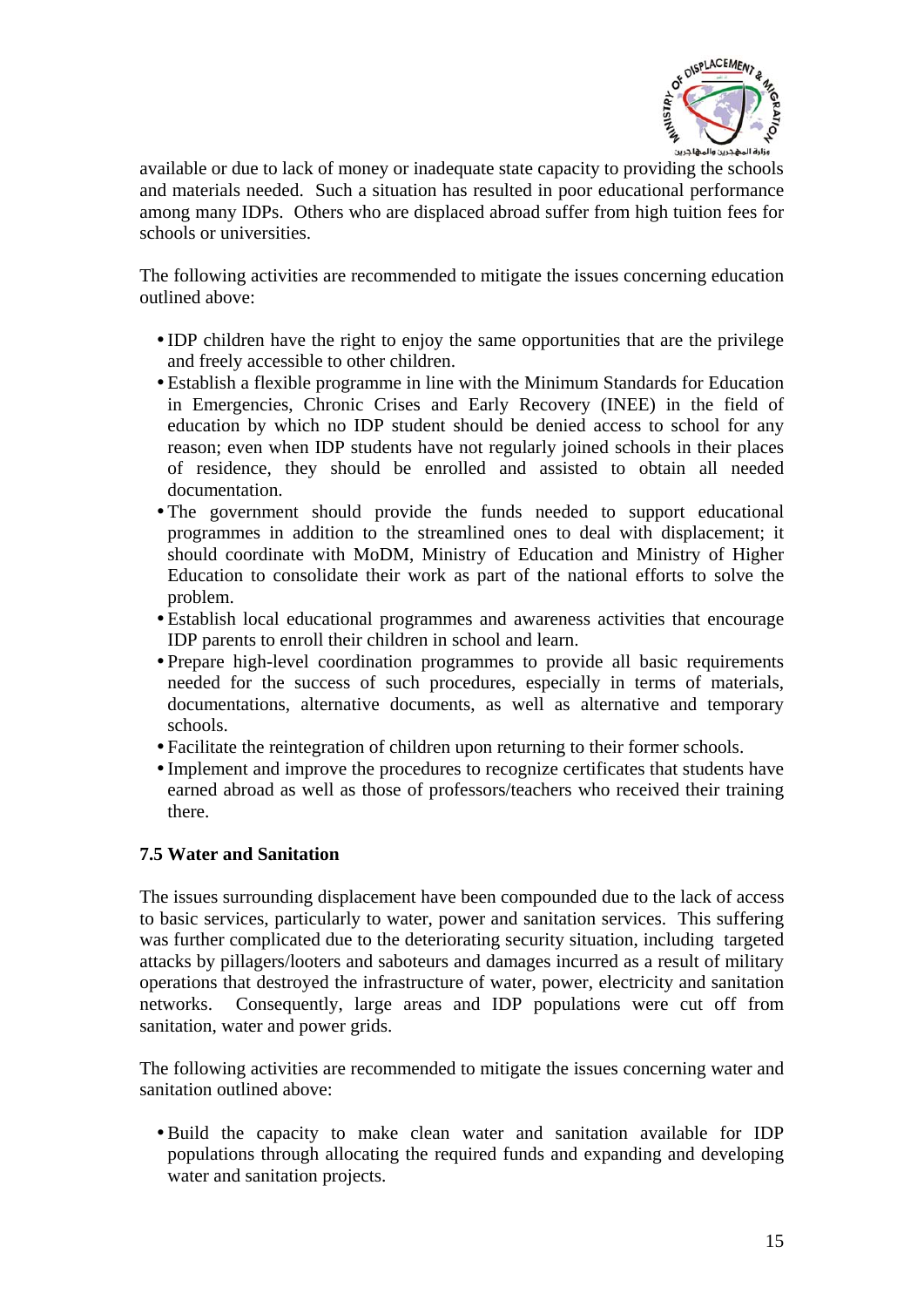

<span id="page-14-0"></span>available or due to lack of money or inadequate state capacity to providing the schools and materials needed. Such a situation has resulted in poor educational performance among many IDPs. Others who are displaced abroad suffer from high tuition fees for schools or universities.

The following activities are recommended to mitigate the issues concerning education outlined above:

- IDP children have the right to enjoy the same opportunities that are the privilege and freely accessible to other children.
- Establish a flexible programme in line with the Minimum Standards for Education in Emergencies, Chronic Crises and Early Recovery (INEE) in the field of education by which no IDP student should be denied access to school for any reason; even when IDP students have not regularly joined schools in their places of residence, they should be enrolled and assisted to obtain all needed documentation.
- The government should provide the funds needed to support educational programmes in addition to the streamlined ones to deal with displacement; it should coordinate with MoDM, Ministry of Education and Ministry of Higher Education to consolidate their work as part of the national efforts to solve the problem.
- yEstablish local educational programmes and awareness activities that encourage IDP parents to enroll their children in school and learn.
- Prepare high-level coordination programmes to provide all basic requirements needed for the success of such procedures, especially in terms of materials, documentations, alternative documents, as well as alternative and temporary schools.
- Facilitate the reintegration of children upon returning to their former schools.
- Implement and improve the procedures to recognize certificates that students have earned abroad as well as those of professors/teachers who received their training there.

#### **7.5 Water and Sanitation**

The issues surrounding displacement have been compounded due to the lack of access to basic services, particularly to water, power and sanitation services. This suffering was further complicated due to the deteriorating security situation, including targeted attacks by pillagers/looters and saboteurs and damages incurred as a result of military operations that destroyed the infrastructure of water, power, electricity and sanitation networks. Consequently, large areas and IDP populations were cut off from sanitation, water and power grids.

The following activities are recommended to mitigate the issues concerning water and sanitation outlined above:

yBuild the capacity to make clean water and sanitation available for IDP populations through allocating the required funds and expanding and developing water and sanitation projects.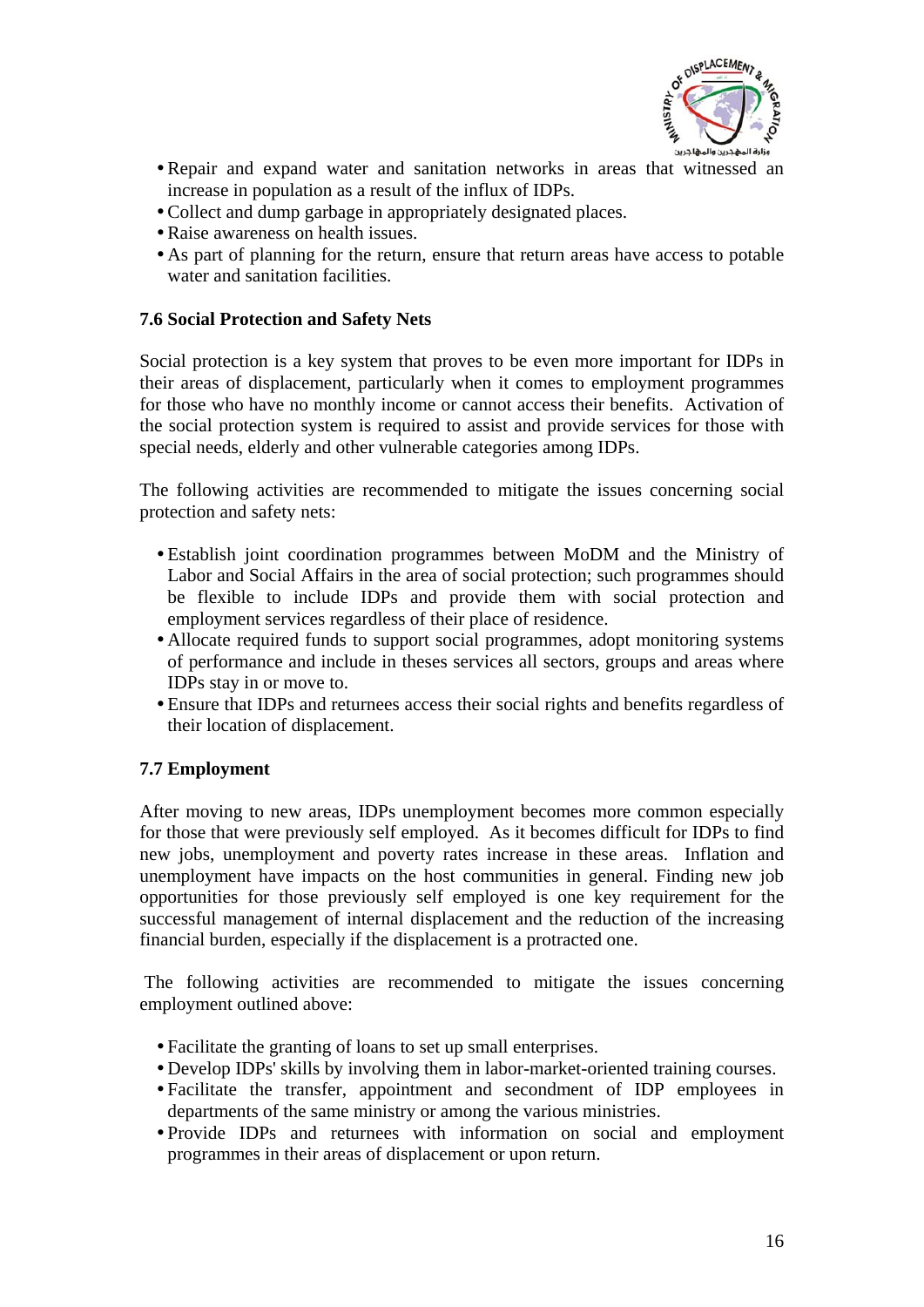

- <span id="page-15-0"></span>• Repair and expand water and sanitation networks in areas that witnessed an increase in population as a result of the influx of IDPs.
- Collect and dump garbage in appropriately designated places.
- Raise awareness on health issues.
- As part of planning for the return, ensure that return areas have access to potable water and sanitation facilities.

#### **7.6 Social Protection and Safety Nets**

Social protection is a key system that proves to be even more important for IDPs in their areas of displacement, particularly when it comes to employment programmes for those who have no monthly income or cannot access their benefits. Activation of the social protection system is required to assist and provide services for those with special needs, elderly and other vulnerable categories among IDPs.

The following activities are recommended to mitigate the issues concerning social protection and safety nets:

- Establish joint coordination programmes between MoDM and the Ministry of Labor and Social Affairs in the area of social protection; such programmes should be flexible to include IDPs and provide them with social protection and employment services regardless of their place of residence.
- Allocate required funds to support social programmes, adopt monitoring systems of performance and include in theses services all sectors, groups and areas where IDPs stay in or move to.
- Ensure that IDPs and returnees access their social rights and benefits regardless of their location of displacement.

#### **7.7 Employment**

After moving to new areas, IDPs unemployment becomes more common especially for those that were previously self employed. As it becomes difficult for IDPs to find new jobs, unemployment and poverty rates increase in these areas. Inflation and unemployment have impacts on the host communities in general. Finding new job opportunities for those previously self employed is one key requirement for the successful management of internal displacement and the reduction of the increasing financial burden, especially if the displacement is a protracted one.

 The following activities are recommended to mitigate the issues concerning employment outlined above:

- Facilitate the granting of loans to set up small enterprises.
- Develop IDPs' skills by involving them in labor-market-oriented training courses.
- y Facilitate the transfer, appointment and secondment of IDP employees in departments of the same ministry or among the various ministries.
- y Provide IDPs and returnees with information on social and employment programmes in their areas of displacement or upon return.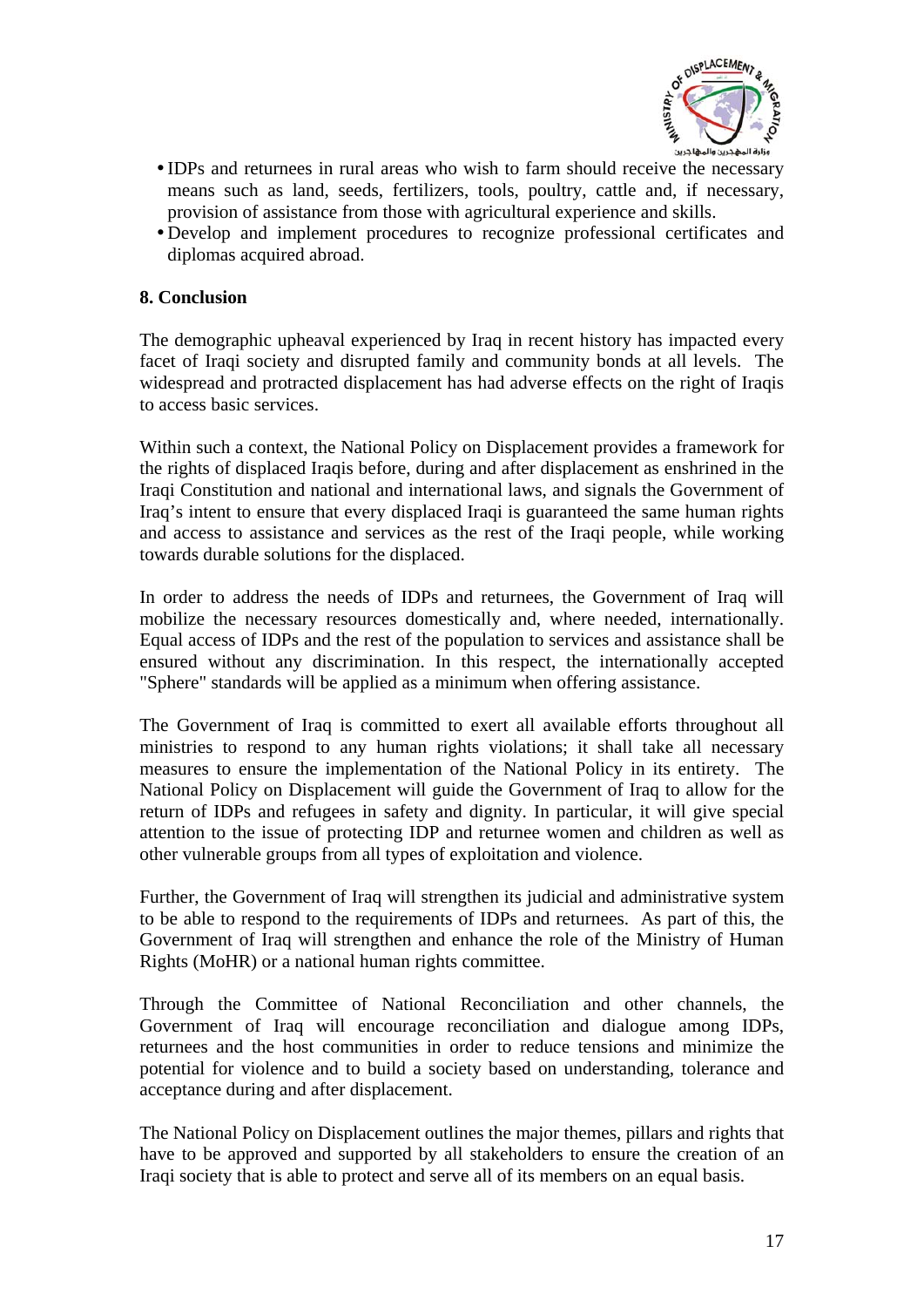

- <span id="page-16-0"></span>• IDPs and returnees in rural areas who wish to farm should receive the necessary means such as land, seeds, fertilizers, tools, poultry, cattle and, if necessary, provision of assistance from those with agricultural experience and skills.
- yDevelop and implement procedures to recognize professional certificates and diplomas acquired abroad.

#### **8. Conclusion**

The demographic upheaval experienced by Iraq in recent history has impacted every facet of Iraqi society and disrupted family and community bonds at all levels. The widespread and protracted displacement has had adverse effects on the right of Iraqis to access basic services.

Within such a context, the National Policy on Displacement provides a framework for the rights of displaced Iraqis before, during and after displacement as enshrined in the Iraqi Constitution and national and international laws, and signals the Government of Iraq's intent to ensure that every displaced Iraqi is guaranteed the same human rights and access to assistance and services as the rest of the Iraqi people, while working towards durable solutions for the displaced.

In order to address the needs of IDPs and returnees, the Government of Iraq will mobilize the necessary resources domestically and, where needed, internationally. Equal access of IDPs and the rest of the population to services and assistance shall be ensured without any discrimination. In this respect, the internationally accepted "Sphere" standards will be applied as a minimum when offering assistance.

The Government of Iraq is committed to exert all available efforts throughout all ministries to respond to any human rights violations; it shall take all necessary measures to ensure the implementation of the National Policy in its entirety. The National Policy on Displacement will guide the Government of Iraq to allow for the return of IDPs and refugees in safety and dignity. In particular, it will give special attention to the issue of protecting IDP and returnee women and children as well as other vulnerable groups from all types of exploitation and violence.

Further, the Government of Iraq will strengthen its judicial and administrative system to be able to respond to the requirements of IDPs and returnees. As part of this, the Government of Iraq will strengthen and enhance the role of the Ministry of Human Rights (MoHR) or a national human rights committee.

Through the Committee of National Reconciliation and other channels, the Government of Iraq will encourage reconciliation and dialogue among IDPs, returnees and the host communities in order to reduce tensions and minimize the potential for violence and to build a society based on understanding, tolerance and acceptance during and after displacement.

The National Policy on Displacement outlines the major themes, pillars and rights that have to be approved and supported by all stakeholders to ensure the creation of an Iraqi society that is able to protect and serve all of its members on an equal basis.